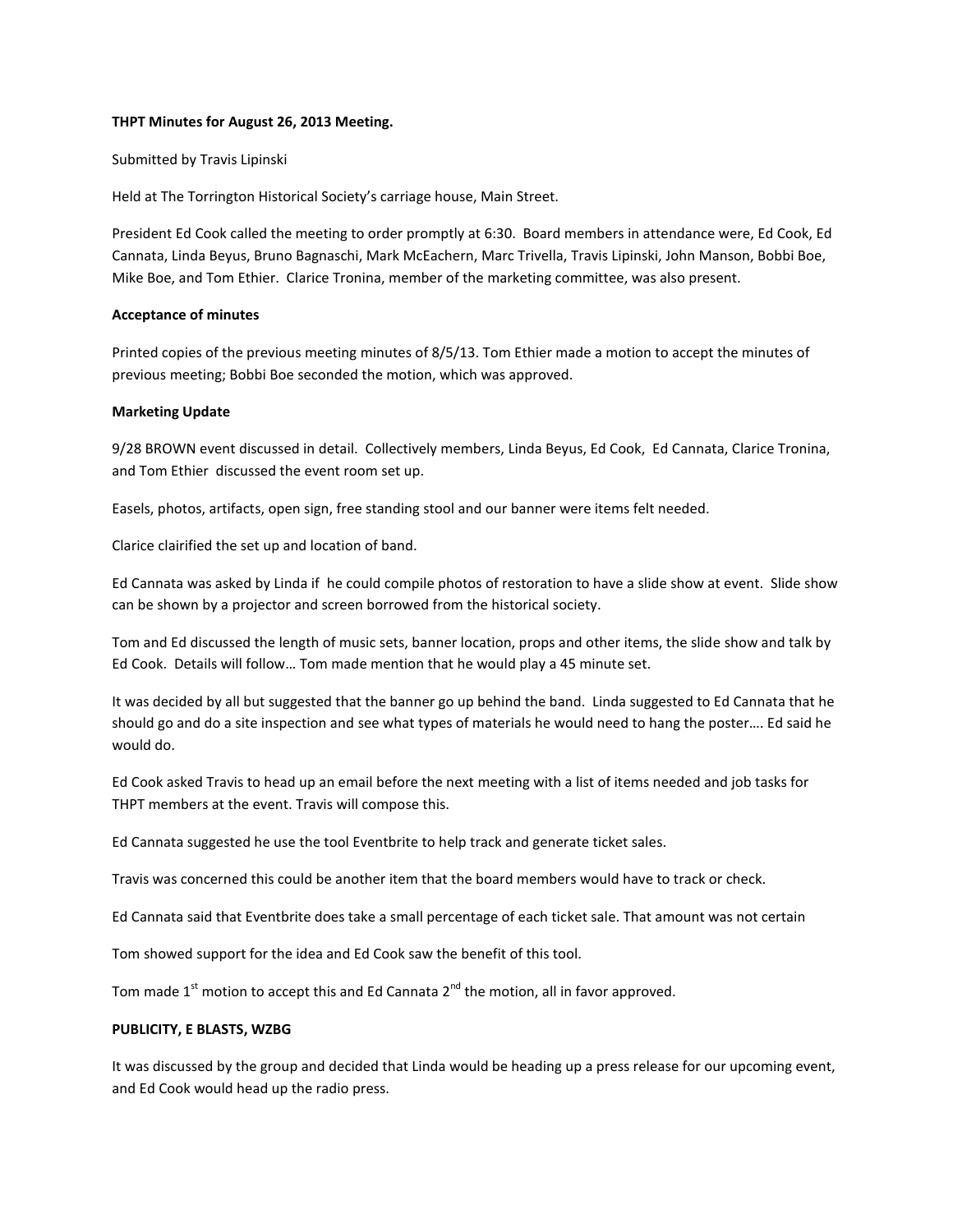# **THPT Minutes for August 26, 2013 Meeting.**

# Submitted by Travis Lipinski

Held at The Torrington Historical Society's carriage house, Main Street.

President Ed Cook called the meeting to order promptly at 6:30. Board members in attendance were, Ed Cook, Ed Cannata, Linda Beyus, Bruno Bagnaschi, Mark McEachern, Marc Trivella, Travis Lipinski, John Manson, Bobbi Boe, Mike Boe, and Tom Ethier. Clarice Tronina, member of the marketing committee, was also present.

# **Acceptance of minutes**

Printed copies of the previous meeting minutes of 8/5/13. Tom Ethier made a motion to accept the minutes of previous meeting; Bobbi Boe seconded the motion, which was approved.

# **Marketing Update**

9/28 BROWN event discussed in detail. Collectively members, Linda Beyus, Ed Cook, Ed Cannata, Clarice Tronina, and Tom Ethier discussed the event room set up.

Easels, photos, artifacts, open sign, free standing stool and our banner were items felt needed.

Clarice clairified the set up and location of band.

Ed Cannata was asked by Linda if he could compile photos of restoration to have a slide show at event. Slide show can be shown by a projector and screen borrowed from the historical society.

Tom and Ed discussed the length of music sets, banner location, props and other items, the slide show and talk by Ed Cook. Details will follow… Tom made mention that he would play a 45 minute set.

It was decided by all but suggested that the banner go up behind the band. Linda suggested to Ed Cannata that he should go and do a site inspection and see what types of materials he would need to hang the poster…. Ed said he would do.

Ed Cook asked Travis to head up an email before the next meeting with a list of items needed and job tasks for THPT members at the event. Travis will compose this.

Ed Cannata suggested he use the tool Eventbrite to help track and generate ticket sales.

Travis was concerned this could be another item that the board members would have to track or check.

Ed Cannata said that Eventbrite does take a small percentage of each ticket sale. That amount was not certain

Tom showed support for the idea and Ed Cook saw the benefit of this tool.

Tom made  $1<sup>st</sup>$  motion to accept this and Ed Cannata  $2<sup>nd</sup>$  the motion, all in favor approved.

# **PUBLICITY, E BLASTS, WZBG**

It was discussed by the group and decided that Linda would be heading up a press release for our upcoming event, and Ed Cook would head up the radio press.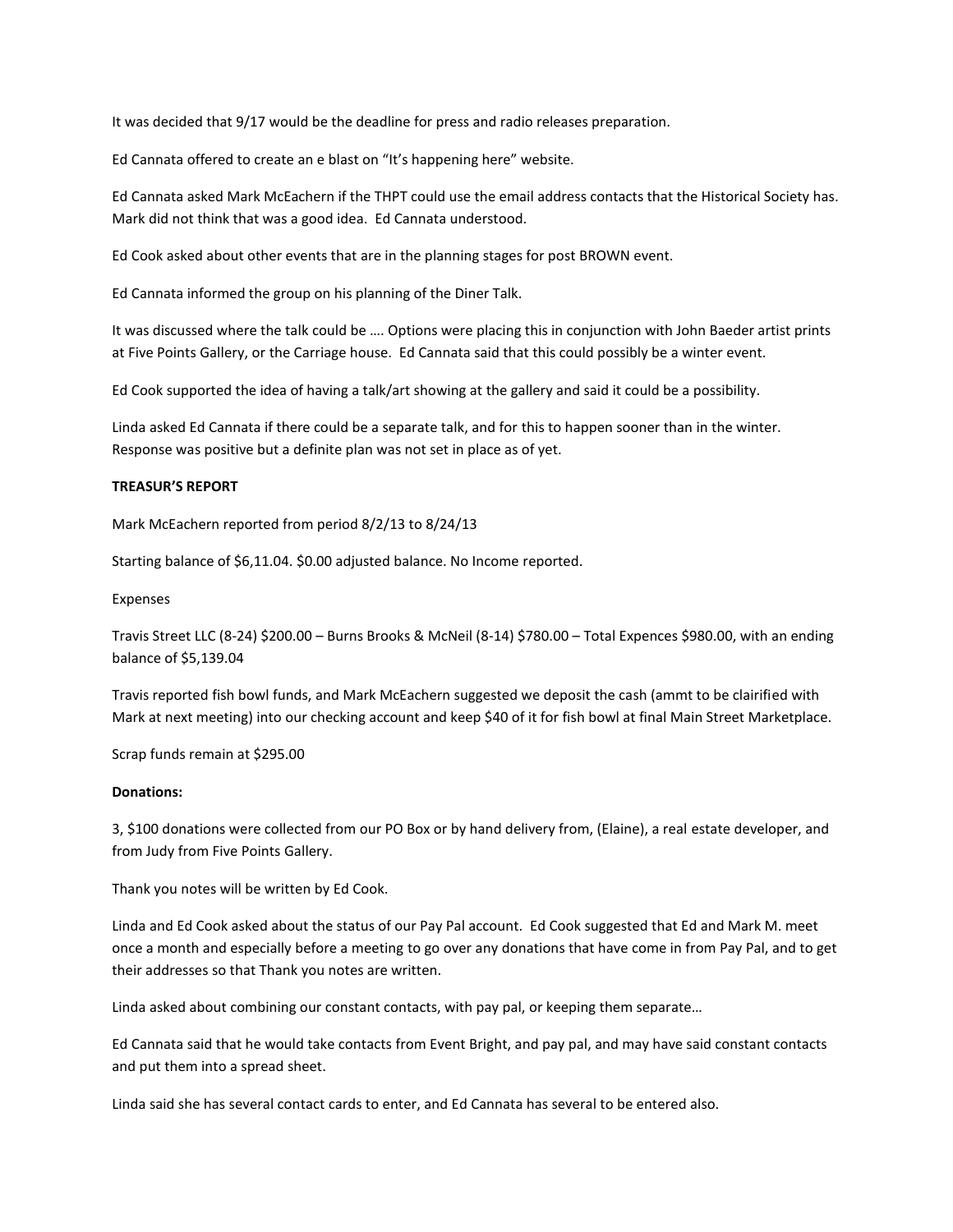It was decided that 9/17 would be the deadline for press and radio releases preparation.

Ed Cannata offered to create an e blast on "It's happening here" website.

Ed Cannata asked Mark McEachern if the THPT could use the email address contacts that the Historical Society has. Mark did not think that was a good idea. Ed Cannata understood.

Ed Cook asked about other events that are in the planning stages for post BROWN event.

Ed Cannata informed the group on his planning of the Diner Talk.

It was discussed where the talk could be …. Options were placing this in conjunction with John Baeder artist prints at Five Points Gallery, or the Carriage house. Ed Cannata said that this could possibly be a winter event.

Ed Cook supported the idea of having a talk/art showing at the gallery and said it could be a possibility.

Linda asked Ed Cannata if there could be a separate talk, and for this to happen sooner than in the winter. Response was positive but a definite plan was not set in place as of yet.

# **TREASUR'S REPORT**

Mark McEachern reported from period 8/2/13 to 8/24/13

Starting balance of \$6,11.04. \$0.00 adjusted balance. No Income reported.

Expenses

Travis Street LLC (8-24) \$200.00 – Burns Brooks & McNeil (8-14) \$780.00 – Total Expences \$980.00, with an ending balance of \$5,139.04

Travis reported fish bowl funds, and Mark McEachern suggested we deposit the cash (ammt to be clairified with Mark at next meeting) into our checking account and keep \$40 of it for fish bowl at final Main Street Marketplace.

Scrap funds remain at \$295.00

#### **Donations:**

3, \$100 donations were collected from our PO Box or by hand delivery from, (Elaine), a real estate developer, and from Judy from Five Points Gallery.

Thank you notes will be written by Ed Cook.

Linda and Ed Cook asked about the status of our Pay Pal account. Ed Cook suggested that Ed and Mark M. meet once a month and especially before a meeting to go over any donations that have come in from Pay Pal, and to get their addresses so that Thank you notes are written.

Linda asked about combining our constant contacts, with pay pal, or keeping them separate…

Ed Cannata said that he would take contacts from Event Bright, and pay pal, and may have said constant contacts and put them into a spread sheet.

Linda said she has several contact cards to enter, and Ed Cannata has several to be entered also.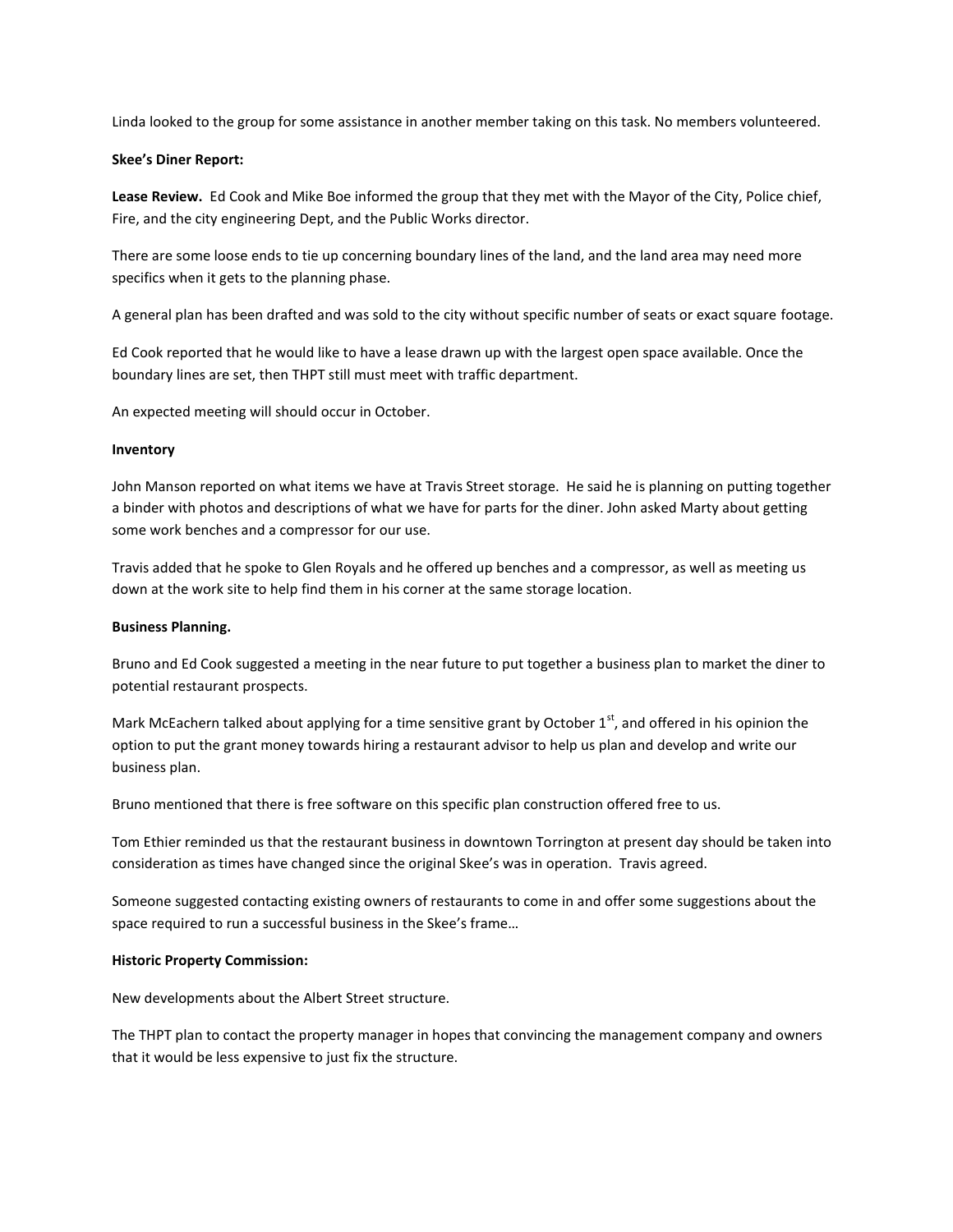Linda looked to the group for some assistance in another member taking on this task. No members volunteered.

# **Skee's Diner Report:**

**Lease Review.** Ed Cook and Mike Boe informed the group that they met with the Mayor of the City, Police chief, Fire, and the city engineering Dept, and the Public Works director.

There are some loose ends to tie up concerning boundary lines of the land, and the land area may need more specifics when it gets to the planning phase.

A general plan has been drafted and was sold to the city without specific number of seats or exact square footage.

Ed Cook reported that he would like to have a lease drawn up with the largest open space available. Once the boundary lines are set, then THPT still must meet with traffic department.

An expected meeting will should occur in October.

#### **Inventory**

John Manson reported on what items we have at Travis Street storage. He said he is planning on putting together a binder with photos and descriptions of what we have for parts for the diner. John asked Marty about getting some work benches and a compressor for our use.

Travis added that he spoke to Glen Royals and he offered up benches and a compressor, as well as meeting us down at the work site to help find them in his corner at the same storage location.

#### **Business Planning.**

Bruno and Ed Cook suggested a meeting in the near future to put together a business plan to market the diner to potential restaurant prospects.

Mark McEachern talked about applying for a time sensitive grant by October  $1<sup>st</sup>$ , and offered in his opinion the option to put the grant money towards hiring a restaurant advisor to help us plan and develop and write our business plan.

Bruno mentioned that there is free software on this specific plan construction offered free to us.

Tom Ethier reminded us that the restaurant business in downtown Torrington at present day should be taken into consideration as times have changed since the original Skee's was in operation. Travis agreed.

Someone suggested contacting existing owners of restaurants to come in and offer some suggestions about the space required to run a successful business in the Skee's frame…

#### **Historic Property Commission:**

New developments about the Albert Street structure.

The THPT plan to contact the property manager in hopes that convincing the management company and owners that it would be less expensive to just fix the structure.